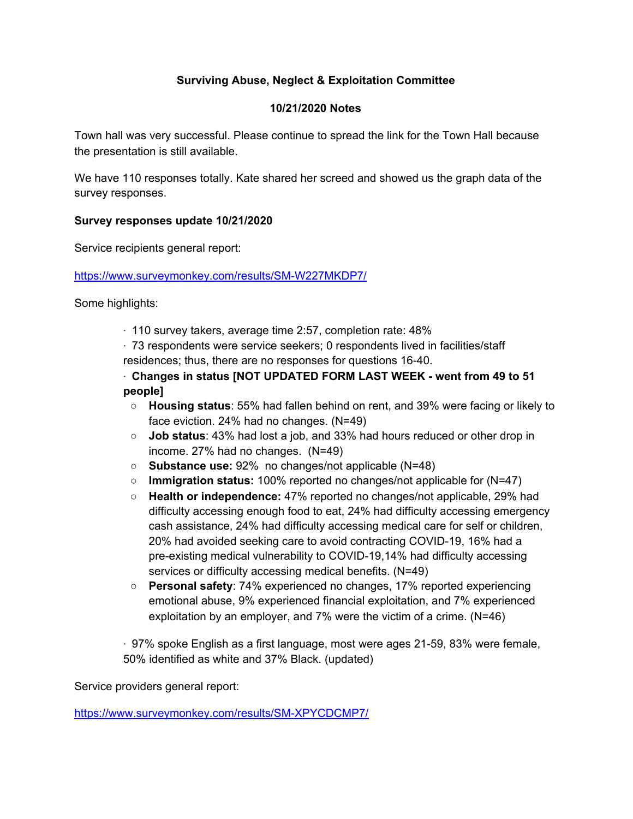## **Surviving Abuse, Neglect & Exploitation Committee**

## **10/21/2020 Notes**

Town hall was very successful. Please continue to spread the link for the Town Hall because the presentation is still available.

We have 110 responses totally. Kate shared her screed and showed us the graph data of the survey responses.

## **Survey responses update 10/21/2020**

Service recipients general report:

<https://www.surveymonkey.com/results/SM-W227MKDP7/>

Some highlights:

· 110 survey takers, average time 2:57, completion rate: 48%

· 73 respondents were service seekers; 0 respondents lived in facilities/staff residences; thus, there are no responses for questions 16-40.

· **Changes in status [NOT UPDATED FORM LAST WEEK - went from 49 to 51 people]**

- **Housing status**: 55% had fallen behind on rent, and 39% were facing or likely to face eviction. 24% had no changes. (N=49)
- **Job status**: 43% had lost a job, and 33% had hours reduced or other drop in income. 27% had no changes. (N=49)
- **Substance use:** 92% no changes/not applicable (N=48)
- **Immigration status:** 100% reported no changes/not applicable for (N=47)
- **Health or independence:** 47% reported no changes/not applicable, 29% had difficulty accessing enough food to eat, 24% had difficulty accessing emergency cash assistance, 24% had difficulty accessing medical care for self or children, 20% had avoided seeking care to avoid contracting COVID-19, 16% had a pre-existing medical vulnerability to COVID-19,14% had difficulty accessing services or difficulty accessing medical benefits. (N=49)
- **Personal safety**: 74% experienced no changes, 17% reported experiencing emotional abuse, 9% experienced financial exploitation, and 7% experienced exploitation by an employer, and 7% were the victim of a crime. (N=46)

· 97% spoke English as a first language, most were ages 21-59, 83% were female, 50% identified as white and 37% Black. (updated)

Service providers general report:

<https://www.surveymonkey.com/results/SM-XPYCDCMP7/>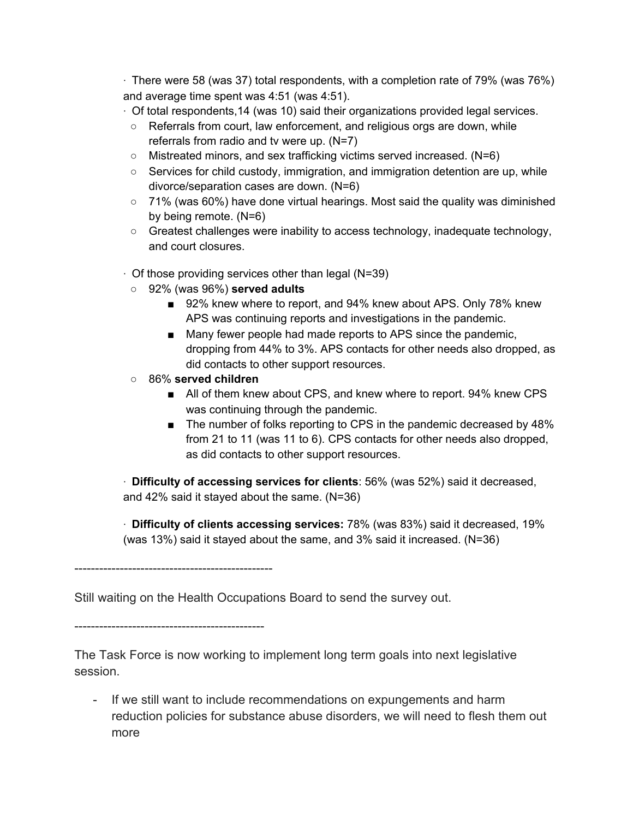· There were 58 (was 37) total respondents, with a completion rate of 79% (was 76%) and average time spent was 4:51 (was 4:51).

- · Of total respondents,14 (was 10) said their organizations provided legal services.
- Referrals from court, law enforcement, and religious orgs are down, while referrals from radio and tv were up. (N=7)
- Mistreated minors, and sex trafficking victims served increased. (N=6)
- $\circ$  Services for child custody, immigration, and immigration detention are up, while divorce/separation cases are down. (N=6)
- $\circ$  71% (was 60%) have done virtual hearings. Most said the quality was diminished by being remote. (N=6)
- Greatest challenges were inability to access technology, inadequate technology, and court closures.
- $\cdot$  Of those providing services other than legal (N=39)
	- 92% (was 96%) **served adults**
		- 92% knew where to report, and 94% knew about APS. Only 78% knew APS was continuing reports and investigations in the pandemic.
		- Many fewer people had made reports to APS since the pandemic, dropping from 44% to 3%. APS contacts for other needs also dropped, as did contacts to other support resources.
	- 86% **served children**
		- All of them knew about CPS, and knew where to report. 94% knew CPS was continuing through the pandemic.
		- The number of folks reporting to CPS in the pandemic decreased by 48% from 21 to 11 (was 11 to 6). CPS contacts for other needs also dropped, as did contacts to other support resources.

· **Difficulty of accessing services for clients**: 56% (was 52%) said it decreased, and 42% said it stayed about the same. (N=36)

· **Difficulty of clients accessing services:** 78% (was 83%) said it decreased, 19% (was 13%) said it stayed about the same, and 3% said it increased. (N=36)

------------------------------------------------

Still waiting on the Health Occupations Board to send the survey out.

----------------------------------------------

The Task Force is now working to implement long term goals into next legislative session.

- If we still want to include recommendations on expungements and harm reduction policies for substance abuse disorders, we will need to flesh them out more